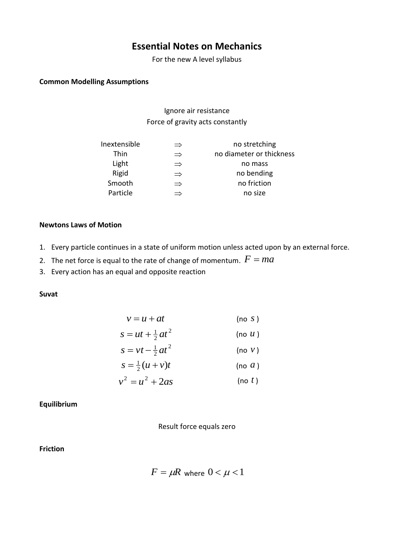# **Essential Notes on Mechanics**

For the new A level syllabus

### **Common Modelling Assumptions**

Ignore air resistance Force of gravity acts constantly

| Inextensible | $\Rightarrow$ | no stretching            |
|--------------|---------------|--------------------------|
| Thin         | $\Rightarrow$ | no diameter or thickness |
| Light        | $\Rightarrow$ | no mass                  |
| Rigid        | $\Rightarrow$ | no bending               |
| Smooth       | $\Rightarrow$ | no friction              |
| Particle     | $\rightarrow$ | no size                  |
|              |               |                          |

#### **Newtons Laws of Motion**

- 1. Every particle continues in a state of uniform motion unless acted upon by an external force.
- 2. The net force is equal to the rate of change of momentum.  $F = ma$
- 3. Every action has an equal and opposite reaction

### **Suvat**

$$
v = u + at
$$
 (no s)

$$
s = ut + \frac{1}{2}at^2 \qquad \qquad \text{(no } u\text{)}
$$

$$
s = vt - \frac{1}{2}at^2 \qquad \qquad \text{(no } v\text{)}
$$

$$
s = \frac{1}{2}(u+v)t
$$
 (no *a*)

$$
v^2 = u^2 + 2as \qquad \qquad \text{(no } t\text{)}
$$

### **Equilibrium**

Result force equals zero

## **Friction**

$$
F = \mu R \text{ where } 0 < \mu < 1
$$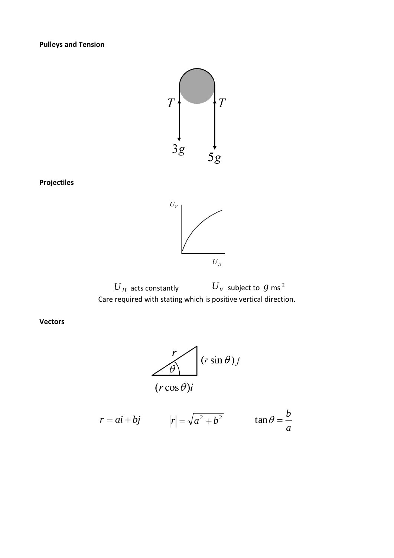**Pulleys and Tension**



 $U_V$  $\bar{U}_H$ 

 $\overline{U}_H$  acts constantly  $\qquad \qquad \overline{U}_V$  subject to  $g$  ms<sup>-2</sup> Care required with stating which is positive vertical direction.

**Vectors**



$$
r = ai + bj
$$
  $|r| = \sqrt{a^2 + b^2}$   $\tan \theta = \frac{b}{a}$ 

**Projectiles**